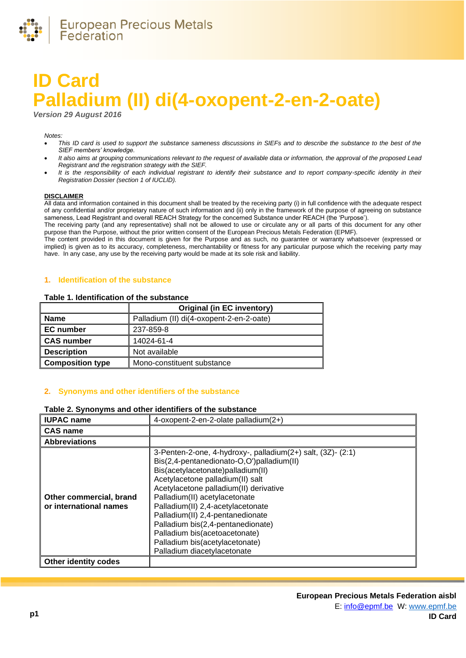

# **ID Card Palladium (II) di(4-oxopent-2-en-2-oate)**

*Version 29 August 2016*

#### *Notes:*

- *This ID card is used to support the substance sameness discussions in SIEFs and to describe the substance to the best of the SIEF members' knowledge.*
- *It also aims at grouping communications relevant to the request of available data or information, the approval of the proposed Lead Registrant and the registration strategy with the SIEF.*
- It is the responsibility of each individual registrant to identify their substance and to report company-specific identity in their *Registration Dossier (section 1 of IUCLID).*

#### **DISCLAIMER**

All data and information contained in this document shall be treated by the receiving party (i) in full confidence with the adequate respect of any confidential and/or proprietary nature of such information and (ii) only in the framework of the purpose of agreeing on substance sameness, Lead Registrant and overall REACH Strategy for the concerned Substance under REACH (the 'Purpose').

The receiving party (and any representative) shall not be allowed to use or circulate any or all parts of this document for any other purpose than the Purpose, without the prior written consent of the European Precious Metals Federation (EPMF).

The content provided in this document is given for the Purpose and as such, no guarantee or warranty whatsoever (expressed or implied) is given as to its accuracy, completeness, merchantability or fitness for any particular purpose which the receiving party may have. In any case, any use by the receiving party would be made at its sole risk and liability.

## **1. Identification of the substance**

#### **Table 1. Identification of the substance**

|                         | <b>Original (in EC inventory)</b>        |
|-------------------------|------------------------------------------|
| <b>Name</b>             | Palladium (II) di(4-oxopent-2-en-2-oate) |
| <b>EC</b> number        | 237-859-8                                |
| <b>CAS number</b>       | 14024-61-4                               |
| <b>Description</b>      | Not available                            |
| <b>Composition type</b> | Mono-constituent substance               |

## **2. Synonyms and other identifiers of the substance**

### **Table 2. Synonyms and other identifiers of the substance**

| <b>IUPAC name</b>                                 | 4-oxopent-2-en-2-olate palladium(2+)                                                                                                                                                                                                                                                                                                                                                                                                                                         |
|---------------------------------------------------|------------------------------------------------------------------------------------------------------------------------------------------------------------------------------------------------------------------------------------------------------------------------------------------------------------------------------------------------------------------------------------------------------------------------------------------------------------------------------|
| <b>CAS name</b>                                   |                                                                                                                                                                                                                                                                                                                                                                                                                                                                              |
| <b>Abbreviations</b>                              |                                                                                                                                                                                                                                                                                                                                                                                                                                                                              |
| Other commercial, brand<br>or international names | 3-Penten-2-one, 4-hydroxy-, palladium(2+) salt, (3Z)- (2:1)<br>Bis(2,4-pentanedionato-O,O')palladium(II)<br>Bis(acetylacetonate)palladium(II)<br>Acetylacetone palladium(II) salt<br>Acetylacetone palladium(II) derivative<br>Palladium(II) acetylacetonate<br>Palladium(II) 2,4-acetylacetonate<br>Palladium(II) 2,4-pentanedionate<br>Palladium bis(2,4-pentanedionate)<br>Palladium bis(acetoacetonate)<br>Palladium bis(acetylacetonate)<br>Palladium diacetylacetonate |
| <b>Other identity codes</b>                       |                                                                                                                                                                                                                                                                                                                                                                                                                                                                              |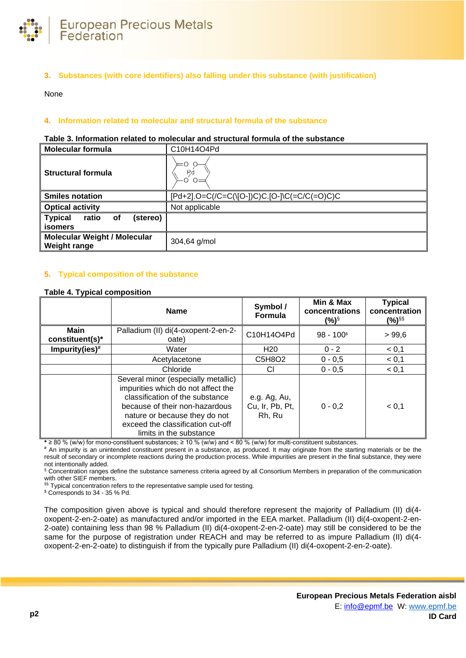

**3. Substances (with core identifiers) also falling under this substance (with justification)**

None

## **4. Information related to molecular and structural formula of the substance**

#### **Table 3. Information related to molecular and structural formula of the substance**

| <b>Molecular formula</b>                                    | C10H14O4Pd                                   |
|-------------------------------------------------------------|----------------------------------------------|
| <b>Structural formula</b>                                   | $=$ $\circ$<br><b>P</b> c                    |
| <b>Smiles notation</b>                                      | [Pd+2].O=C(/C=C(\[O-])C)C.[O-]\C(=C/C(=O)C)C |
| <b>Optical activity</b>                                     | Not applicable                               |
| <b>Typical</b><br>(stereo)<br>ratio<br>of<br><b>isomers</b> |                                              |
| <b>Molecular Weight / Molecular</b><br><b>Weight range</b>  | 304,64 g/mol                                 |

## **5. Typical composition of the substance**

#### <span id="page-1-0"></span>**Table 4. Typical composition**

|                                | <b>Name</b>                                                                                                                                                                                                                                     | Symbol /<br>Formula                       | Min & Max<br>concentrations<br>$(\%)^{\S}$ | <b>Typical</b><br>concentration<br>(%) <sup>§§</sup> |
|--------------------------------|-------------------------------------------------------------------------------------------------------------------------------------------------------------------------------------------------------------------------------------------------|-------------------------------------------|--------------------------------------------|------------------------------------------------------|
| <b>Main</b><br>constituent(s)* | Palladium (II) di(4-oxopent-2-en-2-<br>oate)                                                                                                                                                                                                    | C10H14O4Pd                                | $98 - 1003$                                | >99,6                                                |
| Impurity(ies) $#$              | Water                                                                                                                                                                                                                                           | H <sub>20</sub>                           | $0 - 2$                                    | < 0.1                                                |
|                                | Acetylacetone                                                                                                                                                                                                                                   | C5H8O2                                    | $0 - 0.5$                                  | < 0,1                                                |
|                                | Chloride                                                                                                                                                                                                                                        | CI                                        | $0 - 0.5$                                  | < 0.1                                                |
|                                | Several minor (especially metallic)<br>impurities which do not affect the<br>classification of the substance<br>because of their non-hazardous<br>nature or because they do not<br>exceed the classification cut-off<br>limits in the substance | e.g. Ag, Au,<br>Cu, Ir, Pb, Pt,<br>Rh, Ru | $0 - 0.2$                                  | < 0.1                                                |

**\*** ≥ 80 % (w/w) for mono-constituent substances; ≥ 10 % (w/w) and < 80 % (w/w) for multi-constituent substances.

**#** An impurity is an unintended constituent present in a substance, as produced. It may originate from the starting materials or be the result of secondary or incomplete reactions during the production process. While impurities are present in the final substance, they were not intentionally added.

§ Concentration ranges define the substance sameness criteria agreed by all Consortium Members in preparation of the communication with other SIEF members.

§§ Typical concentration refers to the representative sample used for testing.

\$ Corresponds to 34 - 35 % Pd.

The composition given above is typical and should therefore represent the majority of Palladium (II) di(4 oxopent-2-en-2-oate) as manufactured and/or imported in the EEA market. Palladium (II) di(4-oxopent-2-en-2-oate) containing less than 98 % Palladium (II) di(4-oxopent-2-en-2-oate) may still be considered to be the same for the purpose of registration under REACH and may be referred to as impure Palladium (II) di(4 oxopent-2-en-2-oate) to distinguish if from the typically pure Palladium (II) di(4-oxopent-2-en-2-oate).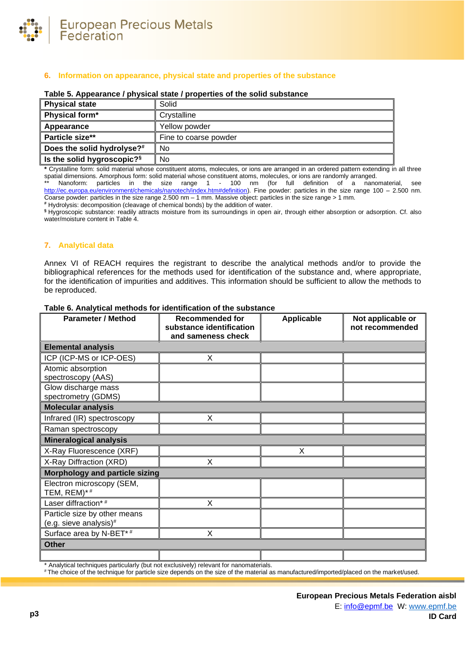

# **6. Information on appearance, physical state and properties of the substance**

| <b>Physical state</b>                  | Solid                 |
|----------------------------------------|-----------------------|
| Physical form*                         | Crystalline           |
| Appearance                             | Yellow powder         |
| Particle size**                        | Fine to coarse powder |
| Does the solid hydrolyse?#             | No                    |
| Is the solid hygroscopic? <sup>§</sup> | No.                   |

#### **Table 5. Appearance / physical state / properties of the solid substance**

**\*** Crystalline form: solid material whose constituent atoms, molecules, or ions are arranged in an ordered pattern extending in all three spatial dimensions. Amorphous form: solid material whose constituent atoms, molecules, or ions are randomly arranged.

Nanoform: particles in the size range 1 - 100 nm (for full definition of a nanomaterial, see [http://ec.europa.eu/environment/chemicals/nanotech/index.htm#definition\)](http://ec.europa.eu/environment/chemicals/nanotech/index.htm#definition). Fine powder: particles in the size range 100 – 2.500 nm. Coarse powder: particles in the size range 2.500 nm – 1 mm. Massive object: particles in the size range > 1 mm.

**#** Hydrolysis: decomposition (cleavage of chemical bonds) by the addition of water.

**§** Hygroscopic substance: readily attracts moisture from its surroundings in open air, through either absorption or adsorption. Cf. also water/moisture content i[n Table 4.](#page-1-0)

### **7. Analytical data**

Annex VI of REACH requires the registrant to describe the analytical methods and/or to provide the bibliographical references for the methods used for identification of the substance and, where appropriate, for the identification of impurities and additives. This information should be sufficient to allow the methods to be reproduced.

| <b>Parameter / Method</b>                              | <b>Recommended for</b><br>substance identification | <b>Applicable</b> | Not applicable or<br>not recommended |
|--------------------------------------------------------|----------------------------------------------------|-------------------|--------------------------------------|
|                                                        | and sameness check                                 |                   |                                      |
| <b>Elemental analysis</b>                              |                                                    |                   |                                      |
| ICP (ICP-MS or ICP-OES)                                | X                                                  |                   |                                      |
| Atomic absorption<br>spectroscopy (AAS)                |                                                    |                   |                                      |
| Glow discharge mass<br>spectrometry (GDMS)             |                                                    |                   |                                      |
| <b>Molecular analysis</b>                              |                                                    |                   |                                      |
| Infrared (IR) spectroscopy                             | X                                                  |                   |                                      |
| Raman spectroscopy                                     |                                                    |                   |                                      |
| <b>Mineralogical analysis</b>                          |                                                    |                   |                                      |
| X-Ray Fluorescence (XRF)                               |                                                    | X                 |                                      |
| X-Ray Diffraction (XRD)                                | X                                                  |                   |                                      |
| Morphology and particle sizing                         |                                                    |                   |                                      |
| Electron microscopy (SEM,<br>TEM, REM)*#               |                                                    |                   |                                      |
| Laser diffraction*#                                    | X                                                  |                   |                                      |
| Particle size by other means<br>(e.g. sieve analysis)# |                                                    |                   |                                      |
| Surface area by N-BET*#                                | X                                                  |                   |                                      |
| <b>Other</b>                                           |                                                    |                   |                                      |
|                                                        |                                                    |                   |                                      |

#### **Table 6. Analytical methods for identification of the substance**

\* Analytical techniques particularly (but not exclusively) relevant for nanomaterials.

# The choice of the technique for particle size depends on the size of the material as manufactured/imported/placed on the market/used.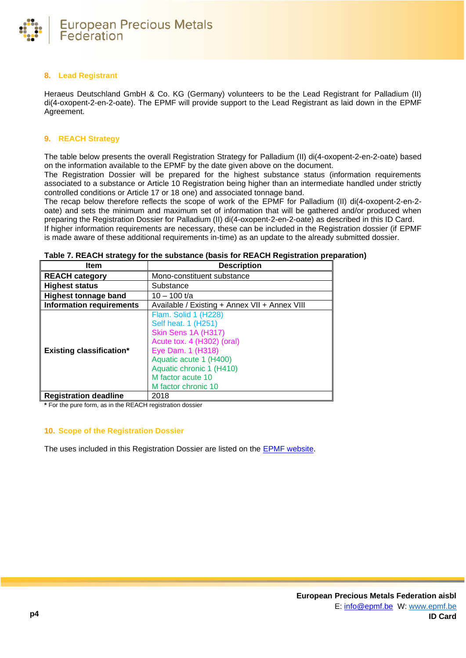

## **8. Lead Registrant**

Heraeus Deutschland GmbH & Co. KG (Germany) volunteers to be the Lead Registrant for Palladium (II) di(4-oxopent-2-en-2-oate). The EPMF will provide support to the Lead Registrant as laid down in the EPMF Agreement.

## **9. REACH Strategy**

The table below presents the overall Registration Strategy for Palladium (II) di(4-oxopent-2-en-2-oate) based on the information available to the EPMF by the date given above on the document.

The Registration Dossier will be prepared for the highest substance status (information requirements associated to a substance or Article 10 Registration being higher than an intermediate handled under strictly controlled conditions or Article 17 or 18 one) and associated tonnage band.

The recap below therefore reflects the scope of work of the EPMF for Palladium (II) di(4-oxopent-2-en-2 oate) and sets the minimum and maximum set of information that will be gathered and/or produced when preparing the Registration Dossier for Palladium (II) di(4-oxopent-2-en-2-oate) as described in this ID Card. If higher information requirements are necessary, these can be included in the Registration dossier (if EPMF is made aware of these additional requirements in-time) as an update to the already submitted dossier.

| ltem                            | <b>Description</b>                                                                                                                                                                                                      |
|---------------------------------|-------------------------------------------------------------------------------------------------------------------------------------------------------------------------------------------------------------------------|
| <b>REACH category</b>           | Mono-constituent substance                                                                                                                                                                                              |
| <b>Highest status</b>           | Substance                                                                                                                                                                                                               |
| <b>Highest tonnage band</b>     | 10 – 100 t/a                                                                                                                                                                                                            |
| <b>Information requirements</b> | Available / Existing + Annex VII + Annex VIII                                                                                                                                                                           |
| <b>Existing classification*</b> | Flam. Solid 1 (H228)<br>Self heat. 1 (H251)<br>Skin Sens 1A (H317)<br>Acute tox. 4 (H302) (oral)<br>Eye Dam. 1 (H318)<br>Aquatic acute 1 (H400)<br>Aquatic chronic 1 (H410)<br>M factor acute 10<br>M factor chronic 10 |
| <b>Registration deadline</b>    | 2018                                                                                                                                                                                                                    |

**Table 7. REACH strategy for the substance (basis for REACH Registration preparation)**

**\*** For the pure form, as in the REACH registration dossier

### **10. Scope of the Registration Dossier**

The uses included in this Registration Dossier are listed on the [EPMF website.](https://www.epmf.be/)